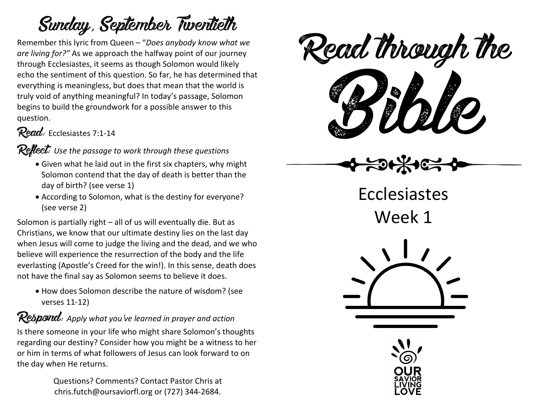## Sunday, September Twentieth

Remember this lyric from Queen – "*Does anybody know what we are living for?"* As we approach the halfway point of our journey through Ecclesiastes, it seems as though Solomon would likely echo the sentiment of this question. So far, he has determined that everything is meaningless, but does that mean that the world is truly void of anything meaningful? In today's passage, Solomon begins to build the groundwork for a possible answer to this question.

## Read: Ecclesiastes 7:1-14

#### Reflect: *Use the passage to work through these questions*

- Given what he laid out in the first six chapters, why might Solomon contend that the day of death is better than the day of birth? (see verse 1)
- According to Solomon, what is the destiny for everyone? (see verse 2)

Solomon is partially right – all of us will eventually die. But as Christians, we know that our ultimate destiny lies on the last day when Jesus will come to judge the living and the dead, and we who believe will experience the resurrection of the body and the life everlasting (Apostle's Creed for the win!). In this sense, death does not have the final say as Solomon seems to believe it does.

• How does Solomon describe the nature of wisdom? (see verses 11-12)

Respond: *Apply what you've learned in prayer and action* Is there someone in your life who might share Solomon's thoughts regarding our destiny? Consider how you might be a witness to her or him in terms of what followers of Jesus can look forward to on the day when He returns.

> Questions? Comments? Contact Pastor Chris at chris.futch@oursaviorfl.org or (727) 344-2684.

eaa mough i Read through the

Ecclesiastes

Week 1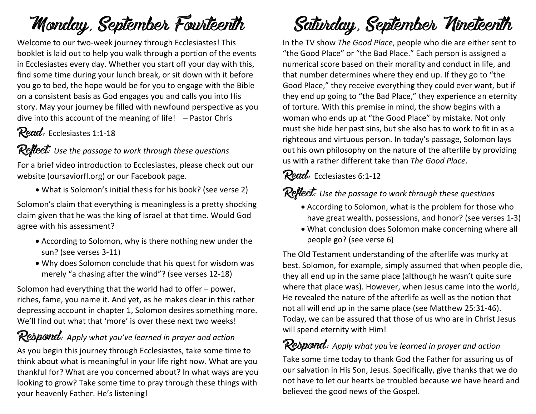## Monday, September Fourteenth

Welcome to our two-week journey through Ecclesiastes! This booklet is laid out to help you walk through a portion of the events in Ecclesiastes every day. Whether you start off your day with this, find some time during your lunch break, or sit down with it before you go to bed, the hope would be for you to engage with the Bible on a consistent basis as God engages you and calls you into His story. May your journey be filled with newfound perspective as you dive into this account of the meaning of life! – Pastor Chris

## Read: Ecclesiastes 1:1-18

#### Reflect: *Use the passage to work through these questions*

For a brief video introduction to Ecclesiastes, please check out our website (oursaviorfl.org) or our Facebook page.

• What is Solomon's initial thesis for his book? (see verse 2)

Solomon's claim that everything is meaningless is a pretty shocking claim given that he was the king of Israel at that time. Would God agree with his assessment?

- According to Solomon, why is there nothing new under the sun? (see verses 3-11)
- Why does Solomon conclude that his quest for wisdom was merely "a chasing after the wind"? (see verses 12-18)

Solomon had everything that the world had to offer – power, riches, fame, you name it. And yet, as he makes clear in this rather depressing account in chapter 1, Solomon desires something more. We'll find out what that 'more' is over these next two weeks!

## Respond: *Apply what you've learned in prayer and action*

As you begin this journey through Ecclesiastes, take some time to think about what is meaningful in your life right now. What are you thankful for? What are you concerned about? In what ways are you looking to grow? Take some time to pray through these things with your heavenly Father. He's listening!

# Saturday, September Nineteenth

In the TV show *The Good Place*, people who die are either sent to "the Good Place" or "the Bad Place." Each person is assigned a numerical score based on their morality and conduct in life, and that number determines where they end up. If they go to "the Good Place," they receive everything they could ever want, but if they end up going to "the Bad Place," they experience an eternity of torture. With this premise in mind, the show begins with a woman who ends up at "the Good Place" by mistake. Not only must she hide her past sins, but she also has to work to fit in as a righteous and virtuous person. In today's passage, Solomon lays out his own philosophy on the nature of the afterlife by providing us with a rather different take than *The Good Place*.

#### Read: Ecclesiastes 6:1-12

#### Reflect: *Use the passage to work through these questions*

- According to Solomon, what is the problem for those who have great wealth, possessions, and honor? (see verses 1-3)
- What conclusion does Solomon make concerning where all people go? (see verse 6)

The Old Testament understanding of the afterlife was murky at best. Solomon, for example, simply assumed that when people die, they all end up in the same place (although he wasn't quite sure where that place was). However, when Jesus came into the world, He revealed the nature of the afterlife as well as the notion that not all will end up in the same place (see Matthew 25:31-46). Today, we can be assured that those of us who are in Christ Jesus will spend eternity with Him!

## Respond: *Apply what you've learned in prayer and action*

Take some time today to thank God the Father for assuring us of our salvation in His Son, Jesus. Specifically, give thanks that we do not have to let our hearts be troubled because we have heard and believed the good news of the Gospel.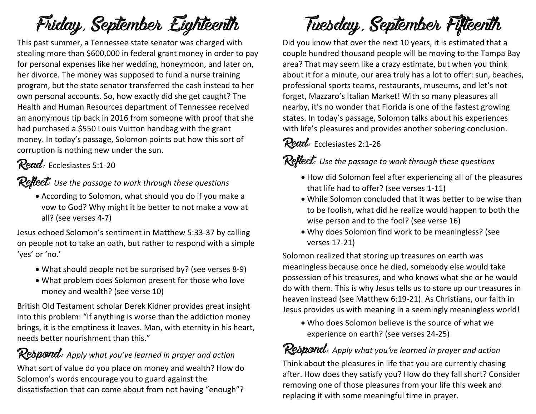# Friday, September Eighteenth

This past summer, a Tennessee state senator was charged with stealing more than \$600,000 in federal grant money in order to pay for personal expenses like her wedding, honeymoon, and later on, her divorce. The money was supposed to fund a nurse training program, but the state senator transferred the cash instead to her own personal accounts. So, how exactly did she get caught? The Health and Human Resources department of Tennessee received an anonymous tip back in 2016 from someone with proof that she had purchased a \$550 Louis Vuitton handbag with the grant money. In today's passage, Solomon points out how this sort of corruption is nothing new under the sun.

### Read: Ecclesiastes 5:1-20

#### Reflect: *Use the passage to work through these questions*

• According to Solomon, what should you do if you make a vow to God? Why might it be better to not make a vow at all? (see verses 4-7)

Jesus echoed Solomon's sentiment in Matthew 5:33-37 by calling on people not to take an oath, but rather to respond with a simple 'yes' or 'no.'

- What should people not be surprised by? (see verses 8-9)
- What problem does Solomon present for those who love money and wealth? (see verse 10)

British Old Testament scholar Derek Kidner provides great insight into this problem: "If anything is worse than the addiction money brings, it is the emptiness it leaves. Man, with eternity in his heart, needs better nourishment than this."

## Respond: *Apply what you've learned in prayer and action*

What sort of value do you place on money and wealth? How do Solomon's words encourage you to guard against the dissatisfaction that can come about from not having "enough"?

# Tuesday, September Fifteenth

Did you know that over the next 10 years, it is estimated that a couple hundred thousand people will be moving to the Tampa Bay area? That may seem like a crazy estimate, but when you think about it for a minute, our area truly has a lot to offer: sun, beaches, professional sports teams, restaurants, museums, and let's not forget, Mazzaro's Italian Market! With so many pleasures all nearby, it's no wonder that Florida is one of the fastest growing states. In today's passage, Solomon talks about his experiences with life's pleasures and provides another sobering conclusion.

## Read: Ecclesiastes 2:1-26

### Reflect: *Use the passage to work through these questions*

- How did Solomon feel after experiencing all of the pleasures that life had to offer? (see verses 1-11)
- While Solomon concluded that it was better to be wise than to be foolish, what did he realize would happen to both the wise person and to the fool? (see verse 16)
- Why does Solomon find work to be meaningless? (see verses 17-21)

Solomon realized that storing up treasures on earth was meaningless because once he died, somebody else would take possession of his treasures, and who knows what she or he would do with them. This is why Jesus tells us to store up our treasures in heaven instead (see Matthew 6:19-21). As Christians, our faith in Jesus provides us with meaning in a seemingly meaningless world!

• Who does Solomon believe is the source of what we experience on earth? (see verses 24-25)

## Respond: *Apply what you've learned in prayer and action*

Think about the pleasures in life that you are currently chasing after. How does they satisfy you? How do they fall short? Consider removing one of those pleasures from your life this week and replacing it with some meaningful time in prayer.